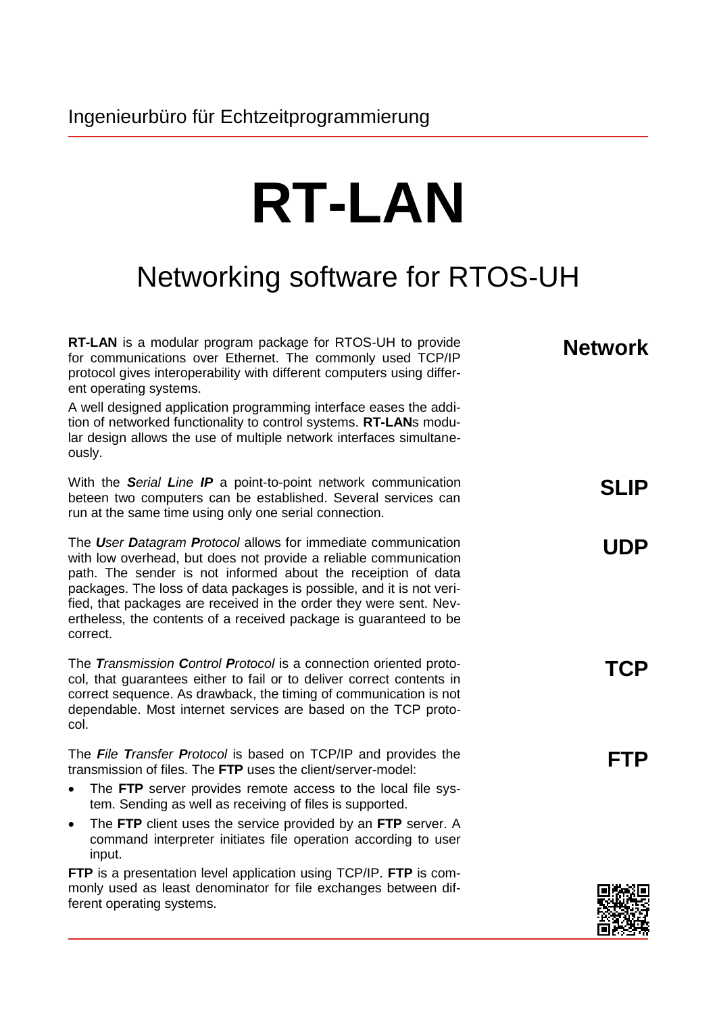## **RT-LAN**

## Networking software for RTOS-UH

| RT-LAN is a modular program package for RTOS-UH to provide<br>for communications over Ethernet. The commonly used TCP/IP<br>protocol gives interoperability with different computers using differ-<br>ent operating systems.                                                                                                                                                                                                      | <b>Network</b> |
|-----------------------------------------------------------------------------------------------------------------------------------------------------------------------------------------------------------------------------------------------------------------------------------------------------------------------------------------------------------------------------------------------------------------------------------|----------------|
| A well designed application programming interface eases the addi-<br>tion of networked functionality to control systems. RT-LANs modu-<br>lar design allows the use of multiple network interfaces simultane-<br>ously.                                                                                                                                                                                                           |                |
| With the Serial Line IP a point-to-point network communication<br>beteen two computers can be established. Several services can<br>run at the same time using only one serial connection.                                                                                                                                                                                                                                         | <b>SLIP</b>    |
| The User Datagram Protocol allows for immediate communication<br>with low overhead, but does not provide a reliable communication<br>path. The sender is not informed about the receiption of data<br>packages. The loss of data packages is possible, and it is not veri-<br>fied, that packages are received in the order they were sent. Nev-<br>ertheless, the contents of a received package is guaranteed to be<br>correct. | <b>UDP</b>     |
| The Transmission Control Protocol is a connection oriented proto-<br>col, that guarantees either to fail or to deliver correct contents in<br>correct sequence. As drawback, the timing of communication is not<br>dependable. Most internet services are based on the TCP proto-<br>col.                                                                                                                                         | TCP            |
| The File Transfer Protocol is based on TCP/IP and provides the<br>transmission of files. The FTP uses the client/server-model:                                                                                                                                                                                                                                                                                                    | FTP            |
| The FTP server provides remote access to the local file sys-<br>$\bullet$<br>tem. Sending as well as receiving of files is supported.                                                                                                                                                                                                                                                                                             |                |
| The FTP client uses the service provided by an FTP server. A<br>$\bullet$<br>command interpreter initiates file operation according to user<br>input.                                                                                                                                                                                                                                                                             |                |
| FTP is a presentation level application using TCP/IP. FTP is com-<br>monly used as least denominator for file exchanges between dif-<br>ferent operating systems.                                                                                                                                                                                                                                                                 |                |